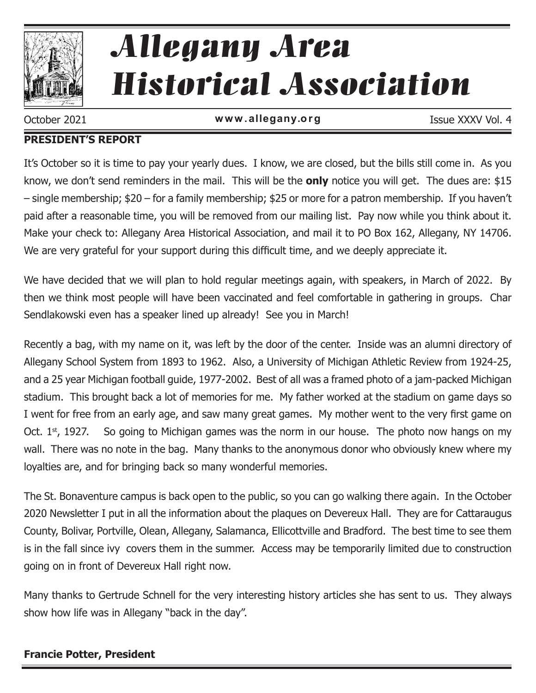

# Allegany Area Historical Association

October 2021 **www.allegany.org Example 1998** Issue XXXV Vol. 4

#### **PRESIDENT'S REPORT**

It's October so it is time to pay your yearly dues. I know, we are closed, but the bills still come in. As you know, we don't send reminders in the mail. This will be the **only** notice you will get. The dues are: \$15 – single membership; \$20 – for a family membership; \$25 or more for a patron membership. If you haven't paid after a reasonable time, you will be removed from our mailing list. Pay now while you think about it. Make your check to: Allegany Area Historical Association, and mail it to PO Box 162, Allegany, NY 14706. We are very grateful for your support during this difficult time, and we deeply appreciate it.

We have decided that we will plan to hold regular meetings again, with speakers, in March of 2022. By then we think most people will have been vaccinated and feel comfortable in gathering in groups. Char Sendlakowski even has a speaker lined up already! See you in March!

Recently a bag, with my name on it, was left by the door of the center. Inside was an alumni directory of Allegany School System from 1893 to 1962. Also, a University of Michigan Athletic Review from 1924-25, and a 25 year Michigan football guide, 1977-2002. Best of all was a framed photo of a jam-packed Michigan stadium. This brought back a lot of memories for me. My father worked at the stadium on game days so I went for free from an early age, and saw many great games. My mother went to the very first game on Oct.  $1<sup>st</sup>$ , 1927. So going to Michigan games was the norm in our house. The photo now hangs on my wall. There was no note in the bag. Many thanks to the anonymous donor who obviously knew where my loyalties are, and for bringing back so many wonderful memories.

The St. Bonaventure campus is back open to the public, so you can go walking there again. In the October 2020 Newsletter I put in all the information about the plaques on Devereux Hall. They are for Cattaraugus County, Bolivar, Portville, Olean, Allegany, Salamanca, Ellicottville and Bradford. The best time to see them is in the fall since ivy covers them in the summer. Access may be temporarily limited due to construction going on in front of Devereux Hall right now.

Many thanks to Gertrude Schnell for the very interesting history articles she has sent to us. They always show how life was in Allegany "back in the day".

#### **Francie Potter, President**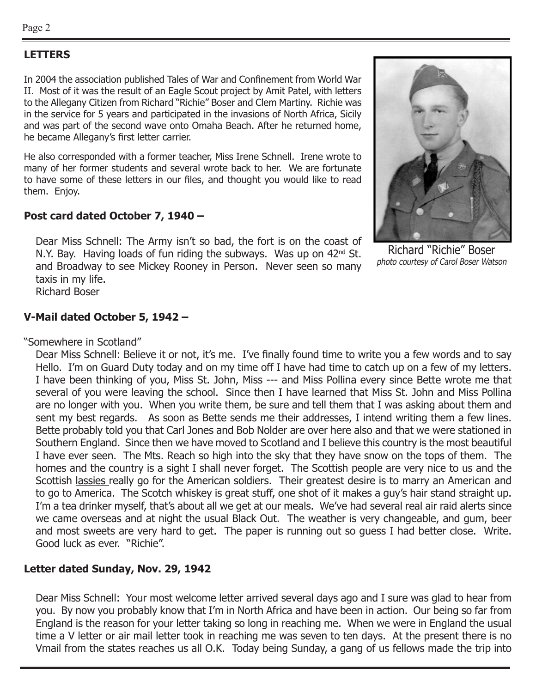#### **LETTERS**

In 2004 the association published Tales of War and Confinement from World War II. Most of it was the result of an Eagle Scout project by Amit Patel, with letters to the Allegany Citizen from Richard "Richie" Boser and Clem Martiny. Richie was in the service for 5 years and participated in the invasions of North Africa, Sicily and was part of the second wave onto Omaha Beach. After he returned home, he became Allegany's first letter carrier.

He also corresponded with a former teacher, Miss Irene Schnell. Irene wrote to many of her former students and several wrote back to her. We are fortunate to have some of these letters in our files, and thought you would like to read them. Enjoy.

#### **Post card dated October 7, 1940 –**

Dear Miss Schnell: The Army isn't so bad, the fort is on the coast of N.Y. Bay. Having loads of fun riding the subways. Was up on 42<sup>nd</sup> St. and Broadway to see Mickey Rooney in Person. Never seen so many taxis in my life.

Richard Boser

#### **V-Mail dated October 5, 1942 –**

"Somewhere in Scotland"

Dear Miss Schnell: Believe it or not, it's me. I've finally found time to write you a few words and to say Hello. I'm on Guard Duty today and on my time off I have had time to catch up on a few of my letters. I have been thinking of you, Miss St. John, Miss --- and Miss Pollina every since Bette wrote me that several of you were leaving the school. Since then I have learned that Miss St. John and Miss Pollina are no longer with you. When you write them, be sure and tell them that I was asking about them and sent my best regards. As soon as Bette sends me their addresses, I intend writing them a few lines. Bette probably told you that Carl Jones and Bob Nolder are over here also and that we were stationed in Southern England. Since then we have moved to Scotland and I believe this country is the most beautiful I have ever seen. The Mts. Reach so high into the sky that they have snow on the tops of them. The homes and the country is a sight I shall never forget. The Scottish people are very nice to us and the Scottish lassies really go for the American soldiers. Their greatest desire is to marry an American and to go to America. The Scotch whiskey is great stuff, one shot of it makes a guy's hair stand straight up. I'm a tea drinker myself, that's about all we get at our meals. We've had several real air raid alerts since we came overseas and at night the usual Black Out. The weather is very changeable, and gum, beer and most sweets are very hard to get. The paper is running out so guess I had better close. Write. Good luck as ever. "Richie".

#### **Letter dated Sunday, Nov. 29, 1942**

Dear Miss Schnell: Your most welcome letter arrived several days ago and I sure was glad to hear from you. By now you probably know that I'm in North Africa and have been in action. Our being so far from England is the reason for your letter taking so long in reaching me. When we were in England the usual time a V letter or air mail letter took in reaching me was seven to ten days. At the present there is no Vmail from the states reaches us all O.K. Today being Sunday, a gang of us fellows made the trip into



Richard "Richie" Boser photo courtesy of Carol Boser Watson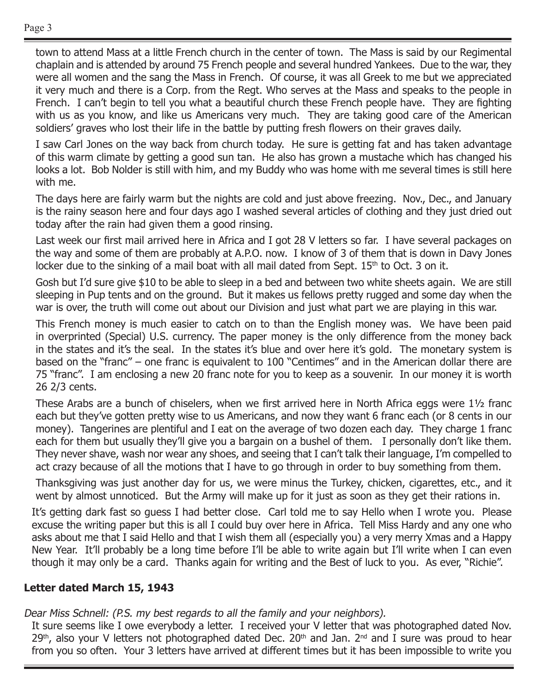town to attend Mass at a little French church in the center of town. The Mass is said by our Regimental chaplain and is attended by around 75 French people and several hundred Yankees. Due to the war, they were all women and the sang the Mass in French. Of course, it was all Greek to me but we appreciated it very much and there is a Corp. from the Regt. Who serves at the Mass and speaks to the people in French. I can't begin to tell you what a beautiful church these French people have. They are fighting with us as you know, and like us Americans very much. They are taking good care of the American soldiers' graves who lost their life in the battle by putting fresh flowers on their graves daily.

I saw Carl Jones on the way back from church today. He sure is getting fat and has taken advantage of this warm climate by getting a good sun tan. He also has grown a mustache which has changed his looks a lot. Bob Nolder is still with him, and my Buddy who was home with me several times is still here with me.

The days here are fairly warm but the nights are cold and just above freezing. Nov., Dec., and January is the rainy season here and four days ago I washed several articles of clothing and they just dried out today after the rain had given them a good rinsing.

Last week our first mail arrived here in Africa and I got 28 V letters so far. I have several packages on the way and some of them are probably at A.P.O. now. I know of 3 of them that is down in Davy Jones locker due to the sinking of a mail boat with all mail dated from Sept.  $15<sup>th</sup>$  to Oct. 3 on it.

Gosh but I'd sure give \$10 to be able to sleep in a bed and between two white sheets again. We are still sleeping in Pup tents and on the ground. But it makes us fellows pretty rugged and some day when the war is over, the truth will come out about our Division and just what part we are playing in this war.

This French money is much easier to catch on to than the English money was. We have been paid in overprinted (Special) U.S. currency. The paper money is the only difference from the money back in the states and it's the seal. In the states it's blue and over here it's gold. The monetary system is based on the "franc" – one franc is equivalent to 100 "Centimes" and in the American dollar there are 75 "franc". I am enclosing a new 20 franc note for you to keep as a souvenir. In our money it is worth 26 2/3 cents.

These Arabs are a bunch of chiselers, when we first arrived here in North Africa eggs were 1½ franc each but they've gotten pretty wise to us Americans, and now they want 6 franc each (or 8 cents in our money). Tangerines are plentiful and I eat on the average of two dozen each day. They charge 1 franc each for them but usually they'll give you a bargain on a bushel of them. I personally don't like them. They never shave, wash nor wear any shoes, and seeing that I can't talk their language, I'm compelled to act crazy because of all the motions that I have to go through in order to buy something from them.

Thanksgiving was just another day for us, we were minus the Turkey, chicken, cigarettes, etc., and it went by almost unnoticed. But the Army will make up for it just as soon as they get their rations in.

It's getting dark fast so guess I had better close. Carl told me to say Hello when I wrote you. Please excuse the writing paper but this is all I could buy over here in Africa. Tell Miss Hardy and any one who asks about me that I said Hello and that I wish them all (especially you) a very merry Xmas and a Happy New Year. It'll probably be a long time before I'll be able to write again but I'll write when I can even though it may only be a card. Thanks again for writing and the Best of luck to you. As ever, "Richie".

#### **Letter dated March 15, 1943**

#### Dear Miss Schnell: (P.S. my best regards to all the family and your neighbors).

It sure seems like I owe everybody a letter. I received your V letter that was photographed dated Nov.  $29<sup>th</sup>$ , also your V letters not photographed dated Dec.  $20<sup>th</sup>$  and Jan. 2<sup>nd</sup> and I sure was proud to hear from you so often. Your 3 letters have arrived at different times but it has been impossible to write you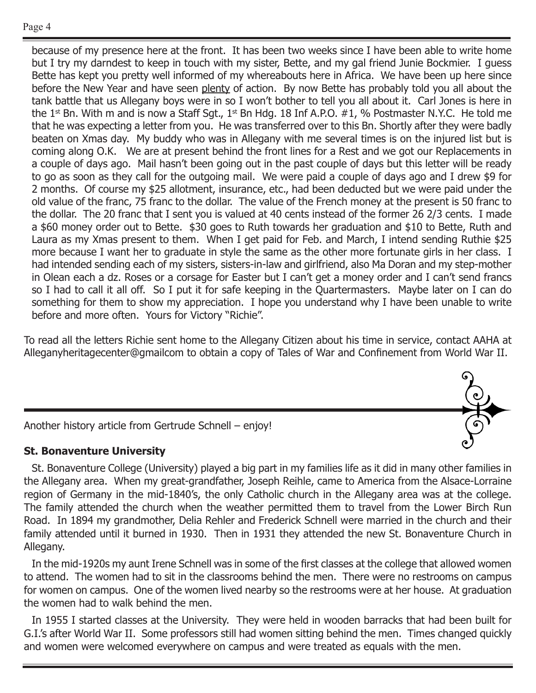because of my presence here at the front. It has been two weeks since I have been able to write home but I try my darndest to keep in touch with my sister, Bette, and my gal friend Junie Bockmier. I guess Bette has kept you pretty well informed of my whereabouts here in Africa. We have been up here since before the New Year and have seen plenty of action. By now Bette has probably told you all about the tank battle that us Allegany boys were in so I won't bother to tell you all about it. Carl Jones is here in the 1<sup>st</sup> Bn. With m and is now a Staff Sgt., 1<sup>st</sup> Bn Hdg. 18 Inf A.P.O.  $#1$ , % Postmaster N.Y.C. He told me that he was expecting a letter from you. He was transferred over to this Bn. Shortly after they were badly beaten on Xmas day. My buddy who was in Allegany with me several times is on the injured list but is coming along O.K. We are at present behind the front lines for a Rest and we got our Replacements in a couple of days ago. Mail hasn't been going out in the past couple of days but this letter will be ready to go as soon as they call for the outgoing mail. We were paid a couple of days ago and I drew \$9 for 2 months. Of course my \$25 allotment, insurance, etc., had been deducted but we were paid under the old value of the franc, 75 franc to the dollar. The value of the French money at the present is 50 franc to the dollar. The 20 franc that I sent you is valued at 40 cents instead of the former 26 2/3 cents. I made a \$60 money order out to Bette. \$30 goes to Ruth towards her graduation and \$10 to Bette, Ruth and Laura as my Xmas present to them. When I get paid for Feb. and March, I intend sending Ruthie \$25 more because I want her to graduate in style the same as the other more fortunate girls in her class. I had intended sending each of my sisters, sisters-in-law and girlfriend, also Ma Doran and my step-mother in Olean each a dz. Roses or a corsage for Easter but I can't get a money order and I can't send francs so I had to call it all off. So I put it for safe keeping in the Quartermasters. Maybe later on I can do something for them to show my appreciation. I hope you understand why I have been unable to write before and more often. Yours for Victory "Richie".

To read all the letters Richie sent home to the Allegany Citizen about his time in service, contact AAHA at Alleganyheritagecenter@gmailcom to obtain a copy of Tales of War and Confinement from World War II.



Another history article from Gertrude Schnell – enjoy!

#### **St. Bonaventure University**

St. Bonaventure College (University) played a big part in my families life as it did in many other families in the Allegany area. When my great-grandfather, Joseph Reihle, came to America from the Alsace-Lorraine region of Germany in the mid-1840's, the only Catholic church in the Allegany area was at the college. The family attended the church when the weather permitted them to travel from the Lower Birch Run Road. In 1894 my grandmother, Delia Rehler and Frederick Schnell were married in the church and their family attended until it burned in 1930. Then in 1931 they attended the new St. Bonaventure Church in Allegany.

In the mid-1920s my aunt Irene Schnell was in some of the first classes at the college that allowed women to attend. The women had to sit in the classrooms behind the men. There were no restrooms on campus for women on campus. One of the women lived nearby so the restrooms were at her house. At graduation the women had to walk behind the men.

In 1955 I started classes at the University. They were held in wooden barracks that had been built for G.I.'s after World War II. Some professors still had women sitting behind the men. Times changed quickly and women were welcomed everywhere on campus and were treated as equals with the men.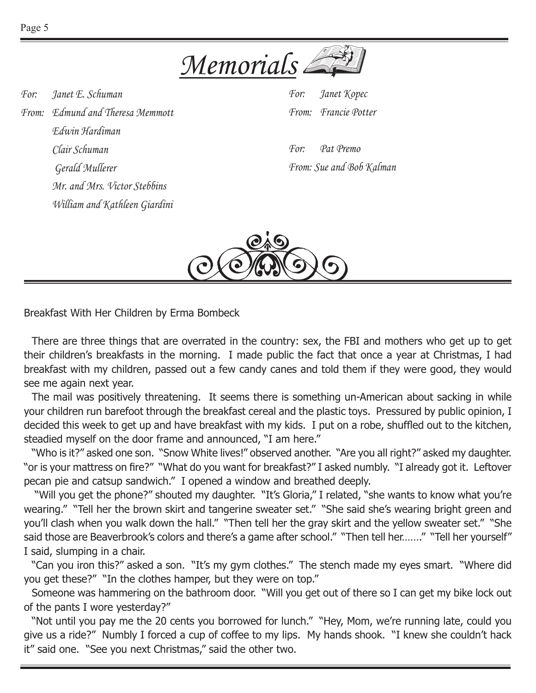

*For: Janet E. Schuman From: Edmund and Theresa Memmott Edwin Hardiman Clair Schuman Gerald Mullerer Mr. and Mrs. Victor Stebbins William and Kathleen Giardini* *For: Janet Kopec From: Francie Potter*

*For: Pat Premo From: Sue and Bob Kalman*



Breakfast With Her Children by Erma Bombeck

There are three things that are overrated in the country: sex, the FBI and mothers who get up to get their children's breakfasts in the morning. I made public the fact that once a year at Christmas, I had breakfast with my children, passed out a few candy canes and told them if they were good, they would see me again next year.

The mail was positively threatening. It seems there is something un-American about sacking in while your children run barefoot through the breakfast cereal and the plastic toys. Pressured by public opinion, I decided this week to get up and have breakfast with my kids. I put on a robe, shuffled out to the kitchen, steadied myself on the door frame and announced, "I am here."

"Who is it?" asked one son. "Snow White lives!" observed another. "Are you all right?" asked my daughter. "or is your mattress on fire?" "What do you want for breakfast?" I asked numbly. "I already got it. Leftover pecan pie and catsup sandwich." I opened a window and breathed deeply.

 "Will you get the phone?" shouted my daughter. "It's Gloria," I related, "she wants to know what you're wearing." "Tell her the brown skirt and tangerine sweater set." "She said she's wearing bright green and you'll clash when you walk down the hall." "Then tell her the gray skirt and the yellow sweater set." "She said those are Beaverbrook's colors and there's a game after school." "Then tell her......." "Tell her yourself" I said, slumping in a chair.

"Can you iron this?" asked a son. "It's my gym clothes." The stench made my eyes smart. "Where did you get these?" "In the clothes hamper, but they were on top."

Someone was hammering on the bathroom door. "Will you get out of there so I can get my bike lock out of the pants I wore yesterday?"

"Not until you pay me the 20 cents you borrowed for lunch." "Hey, Mom, we're running late, could you give us a ride?" Numbly I forced a cup of coffee to my lips. My hands shook. "I knew she couldn't hack it" said one. "See you next Christmas," said the other two.